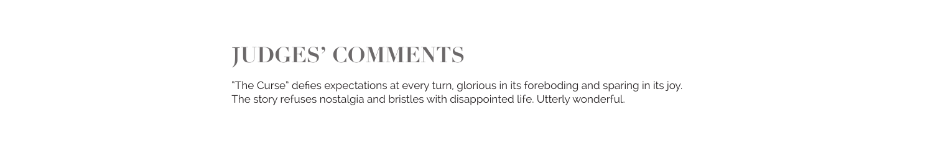# **JUDGES' COMMENTS**

"The Curse" defies expectations at every turn, glorious in its foreboding and sparing in its joy. The story refuses nostalgia and bristles with disappointed life. Utterly wonderful.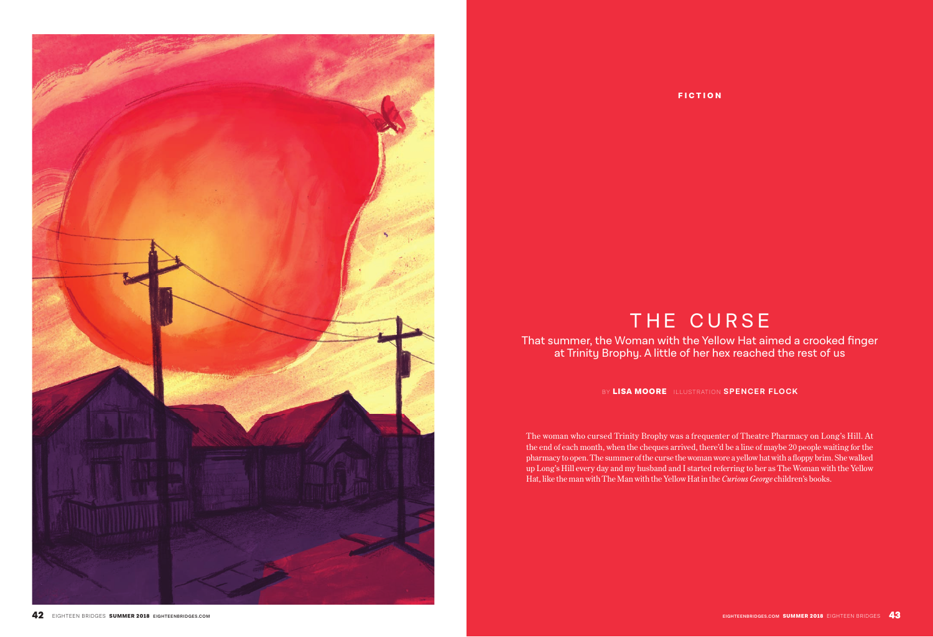

FICTION

# THE CURSE

That summer, the Woman with the Yellow Hat aimed a crooked finger at Trinity Brophy. A little of her hex reached the rest of us

BY LISA MOORE ILLUSTRATION **SPENCER FLOCK**

The woman who cursed Trinity Brophy was a frequenter of Theatre Pharmacy on Long's Hill. At the end of each month, when the cheques arrived, there'd be a line of maybe 20 people waiting for the pharmacy to open. The summer of the curse the woman wore a yellow hat with a floppy brim. She walked up Long's Hill every day and my husband and I started referring to her as The Woman with the Yellow Hat, like the man with The Man with the Yellow Hat in the *Curious George* children's books.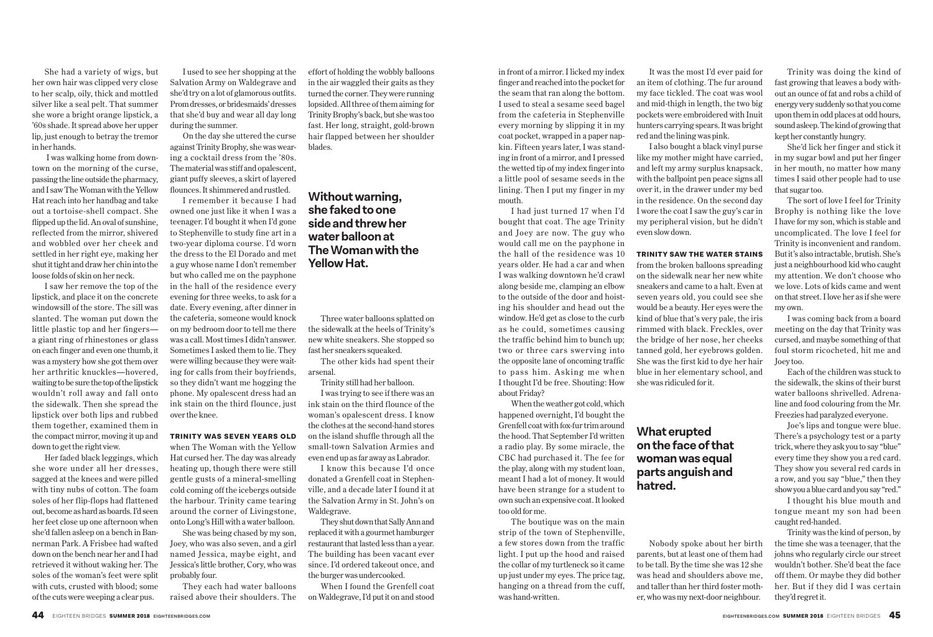She had a variety of wigs, but her own hair was clipped very close to her scalp, oily, thick and mottled silver like a seal pelt. That summer she wore a bright orange lipstick, a '60s shade. It spread above her upper lip, just enough to betray the tremor in her hands.

 I was walking home from downtown on the morning of the curse, passing the line outside the pharmacy, and I saw The Woman with the Yellow Hat reach into her handbag and take out a tortoise-shell compact. She flipped up the lid. An oval of sunshine, reflected from the mirror, shivered and wobbled over her cheek and settled in her right eye, making her shut it tight and draw her chin into the loose folds of skin on her neck.

I saw her remove the top of the lipstick, and place it on the concrete windowsill of the store. The sill was slanted. The woman put down the little plastic top and her fingers a giant ring of rhinestones or glass on each finger and even one thumb, it was a mystery how she got them over her arthritic knuckles—hovered, waiting to be sure the top of the lipstick wouldn't roll away and fall onto the sidewalk. Then she spread the lipstick over both lips and rubbed them together, examined them in the compact mirror, moving it up and down to get the right view.

Her faded black leggings, which she wore under all her dresses, sagged at the knees and were pilled with tiny nubs of cotton. The foam soles of her flip-flops had flattened out, become as hard as boards. I'd seen her feet close up one afternoon when she'd fallen asleep on a bench in Bannerman Park. A Frisbee had wafted down on the bench near her and I had retrieved it without waking her. The soles of the woman's feet were split with cuts, crusted with blood; some of the cuts were weeping a clear pus.

I used to see her shopping at the Salvation Army on Waldegrave and she'd try on a lot of glamorous outfits. Prom dresses, or bridesmaids' dresses that she'd buy and wear all day long during the summer.

On the day she uttered the curse against Trinity Brophy, she was wearing a cocktail dress from the '80s. The material was stiff and opalescent, giant puffy sleeves, a skirt of layered flounces. It shimmered and rustled.

I remember it because I had owned one just like it when I was a teenager. I'd bought it when I'd gone to Stephenville to study fine art in a two-year diploma course. I'd worn the dress to the El Dorado and met a guy whose name I don't remember but who called me on the payphone in the hall of the residence every evening for three weeks, to ask for a date. Every evening, after dinner in the cafeteria, someone would knock on my bedroom door to tell me there was a call. Most times I didn't answer. Sometimes I asked them to lie. They were willing because they were waiting for calls from their boyfriends, so they didn't want me hogging the phone. My opalescent dress had an ink stain on the third flounce, just over the knee.

## TRINITY WAS SEVEN YEARS OLD

when The Woman with the Yellow Hat cursed her. The day was already heating up, though there were still gentle gusts of a mineral-smelling cold coming off the icebergs outside the harbour. Trinity came tearing around the corner of Livingstone, onto Long's Hill with a water balloon.

She was being chased by my son, Joey, who was also seven, and a girl named Jessica, maybe eight, and Jessica's little brother, Cory, who was probably four.

They each had water balloons raised above their shoulders. The effort of holding the wobbly balloons in the air waggled their gaits as they turned the corner. They were running lopsided. All three of them aiming for Trinity Brophy's back, but she was too fast. Her long, straight, gold-brown hair flapped between her shoulder blades.

## **Without warning, she faked to one side and threw her water balloon at The Woman with the Yellow Hat.**

Three water balloons splatted on the sidewalk at the heels of Trinity's new white sneakers. She stopped so fast her sneakers squeaked.

The other kids had spent their arsenal.

Trinity still had her balloon.

I was trying to see if there was an ink stain on the third flounce of the woman's opalescent dress. I know the clothes at the second-hand stores on the island shuffle through all the small-town Salvation Armies and even end up as far away as Labrador.

I know this because I'd once donated a Grenfell coat in Stephenville, and a decade later I found it at the Salvation Army in St. John's on Waldegrave.

They shut down that Sally Ann and replaced it with a gourmet hamburger restaurant that lasted less than a year. The building has been vacant ever since. I'd ordered takeout once, and the burger was undercooked.

When I found the Grenfell coat on Waldegrave, I'd put it on and stood in front of a mirror. I licked my index finger and reached into the pocket for the seam that ran along the bottom. I used to steal a sesame seed bagel from the cafeteria in Stephenville every morning by slipping it in my coat pocket, wrapped in a paper napkin. Fifteen years later, I was standing in front of a mirror, and I pressed the wetted tip of my index finger into a little pool of sesame seeds in the lining. Then I put my finger in my mouth.

I had just turned 17 when I'd bought that coat. The age Trinity and Joey are now. The guy who would call me on the payphone in the hall of the residence was 10 years older. He had a car and when I was walking downtown he'd crawl along beside me, clamping an elbow to the outside of the door and hoisting his shoulder and head out the window. He'd get as close to the curb as he could, sometimes causing the traffic behind him to bunch up; two or three cars swerving into the opposite lane of oncoming traffic to pass him. Asking me when I thought I'd be free. Shouting: How about Friday?

When the weather got cold, which happened overnight, I'd bought the Grenfell coat with fox-fur trim around the hood. That September I'd written a radio play. By some miracle, the CBC had purchased it. The fee for the play, along with my student loan, meant I had a lot of money. It would have been strange for a student to own such an expensive coat. It looked too old for me.

The boutique was on the main strip of the town of Stephenville, a few stores down from the traffic light. I put up the hood and raised the collar of my turtleneck so it came up just under my eyes. The price tag, hanging on a thread from the cuff, was hand-written.

It was the most I'd ever paid for an item of clothing. The fur around my face tickled. The coat was wool and mid-thigh in length, the two big pockets were embroidered with Inuit hunters carrying spears. It was bright red and the lining was pink.

I also bought a black vinyl purse like my mother might have carried, and left my army surplus knapsack, with the ballpoint pen peace signs all over it, in the drawer under my bed in the residence. On the second day I wore the coat I saw the guy's car in my peripheral vision, but he didn't even slow down.

TRINITY SAW THE WATER STAINS from the broken balloons spreading on the sidewalk near her new white sneakers and came to a halt. Even at seven years old, you could see she would be a beauty. Her eyes were the kind of blue that's very pale, the iris rimmed with black. Freckles, over the bridge of her nose, her cheeks tanned gold, her eyebrows golden. She was the first kid to dye her hair blue in her elementary school, and she was ridiculed for it.

# **What erupted on the face of that woman was equal parts anguish and hatred.**

Nobody spoke about her birth parents, but at least one of them had to be tall. By the time she was 12 she was head and shoulders above me, and taller than her third foster mother, who was my next-door neighbour.

Trinity was doing the kind of fast growing that leaves a body without an ounce of fat and robs a child of energy very suddenly so that you come upon them in odd places at odd hours, sound asleep. The kind of growing that kept her constantly hungry.

She'd lick her finger and stick it in my sugar bowl and put her finger in her mouth, no matter how many times I said other people had to use that sugar too.

The sort of love I feel for Trinity Brophy is nothing like the love I have for my son, which is stable and uncomplicated. The love I feel for Trinity is inconvenient and random. But it's also intractable, brutish. She's just a neighbourhood kid who caught my attention. We don't choose who we love. Lots of kids came and went on that street. I love her as if she were my own.

I was coming back from a board meeting on the day that Trinity was cursed, and maybe something of that foul storm ricocheted, hit me and Joey too.

Each of the children was stuck to the sidewalk, the skins of their burst water balloons shrivelled. Adrenaline and food colouring from the Mr. Freezies had paralyzed everyone.

Joe's lips and tongue were blue. There's a psychology test or a party trick, where they ask you to say "blue" every time they show you a red card. They show you several red cards in a row, and you say "blue," then they show you a blue card and you say "red."

I thought his blue mouth and tongue meant my son had been caught red-handed.

Trinity was the kind of person, by the time she was a teenager, that the johns who regularly circle our street wouldn't bother. She'd beat the face off them. Or maybe they did bother her. But if they did I was certain they'd regret it.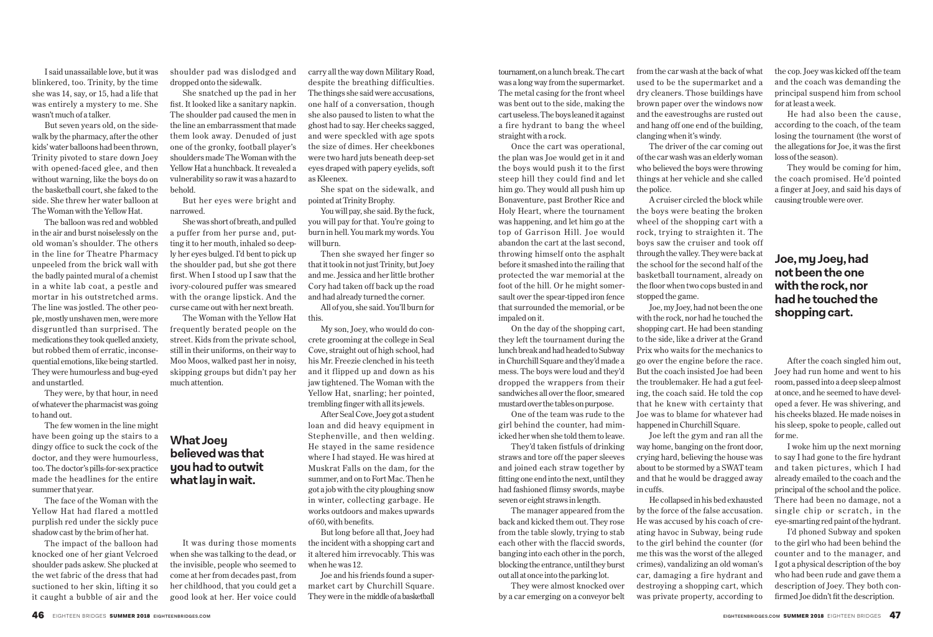I said unassailable love, but it was blinkered, too. Trinity, by the time she was 14, say, or 15, had a life that was entirely a mystery to me. She wasn't much of a talker.

But seven years old, on the sidewalk by the pharmacy, after the other kids' water balloons had been thrown, Trinity pivoted to stare down Joey with opened-faced glee, and then without warning, like the boys do on the basketball court, she faked to the side. She threw her water balloon at The Woman with the Yellow Hat.

The balloon was red and wobbled in the air and burst noiselessly on the old woman's shoulder. The others in the line for Theatre Pharmacy unpeeled from the brick wall with the badly painted mural of a chemist in a white lab coat, a pestle and mortar in his outstretched arms. The line was jostled. The other people, mostly unshaven men, were more disgruntled than surprised. The medications they took quelled anxiety, but robbed them of erratic, inconsequential emotions, like being startled. They were humourless and bug-eyed and unstartled.

They were, by that hour, in need of whatever the pharmacist was going to hand out.

The few women in the line might have been going up the stairs to a dingy office to suck the cock of the doctor, and they were humourless, too. The doctor's pills-for-sex practice made the headlines for the entire summer that year.

The face of the Woman with the Yellow Hat had flared a mottled purplish red under the sickly puce shadow cast by the brim of her hat.

The impact of the balloon had knocked one of her giant Velcroed shoulder pads askew. She plucked at the wet fabric of the dress that had suctioned to her skin, lifting it so it caught a bubble of air and the shoulder pad was dislodged and dropped onto the sidewalk.

She snatched up the pad in her fist. It looked like a sanitary napkin. The shoulder pad caused the men in the line an embarrassment that made them look away. Denuded of just one of the gronky, football player's shoulders made The Woman with the Yellow Hat a hunchback. It revealed a vulnerability so raw it was a hazard to behold.

But her eyes were bright and narrowed.

She was short of breath, and pulled a puffer from her purse and, putting it to her mouth, inhaled so deeply her eyes bulged. I'd bent to pick up the shoulder pad, but she got there first. When I stood up I saw that the ivory-coloured puffer was smeared with the orange lipstick. And the curse came out with her next breath.

The Woman with the Yellow Hat frequently berated people on the street. Kids from the private school, still in their uniforms, on their way to Moo Moos, walked past her in noisy, skipping groups but didn't pay her much attention.

## **What Joey believed was that you had to outwit what lay in wait.**

It was during those moments when she was talking to the dead, or the invisible, people who seemed to come at her from decades past, from her childhood, that you could get a good look at her. Her voice could carry all the way down Military Road, despite the breathing difficulties. The things she said were accusations, one half of a conversation, though she also paused to listen to what the ghost had to say. Her cheeks sagged, and were speckled with age spots the size of dimes. Her cheekbones were two hard juts beneath deep-set eyes draped with papery eyelids, soft as Kleenex.

She spat on the sidewalk, and pointed at Trinity Brophy.

You will pay, she said. By the fuck, you will pay for that. You're going to burn in hell. You mark my words. You will burn.

Then she swayed her finger so that it took in not just Trinity, but Joey and me. Jessica and her little brother Cory had taken off back up the road and had already turned the corner.

All of you, she said. You'll burn for this.

My son, Joey, who would do concrete grooming at the college in Seal Cove, straight out of high school, had his Mr. Freezie clenched in his teeth and it flipped up and down as his jaw tightened. The Woman with the Yellow Hat, snarling; her pointed, trembling finger with all its jewels.

After Seal Cove, Joey got a student loan and did heavy equipment in Stephenville, and then welding. He stayed in the same residence where I had stayed. He was hired at Muskrat Falls on the dam, for the summer, and on to Fort Mac. Then he got a job with the city ploughing snow in winter, collecting garbage. He works outdoors and makes upwards of 60, with benefits.

But long before all that, Joey had the incident with a shopping cart and it altered him irrevocably. This was when he was 12.

Joe and his friends found a supermarket cart by Churchill Square. They were in the middle of a basketball tournament, on a lunch break. The cart was a long way from the supermarket. The metal casing for the front wheel was bent out to the side, making the cart useless. The boys leaned it against a fire hydrant to bang the wheel straight with a rock.

Once the cart was operational, the plan was Joe would get in it and the boys would push it to the first steep hill they could find and let him go. They would all push him up Bonaventure, past Brother Rice and Holy Heart, where the tournament was happening, and let him go at the top of Garrison Hill. Joe would abandon the cart at the last second, throwing himself onto the asphalt before it smashed into the railing that protected the war memorial at the foot of the hill. Or he might somersault over the spear-tipped iron fence that surrounded the memorial, or be impaled on it.

On the day of the shopping cart, they left the tournament during the lunch break and had headed to Subway in Churchill Square and they'd made a mess. The boys were loud and they'd dropped the wrappers from their sandwiches all over the floor, smeared mustard over the tables on purpose.

One of the team was rude to the girl behind the counter, had mimicked her when she told them to leave.

They'd taken fistfuls of drinking straws and tore off the paper sleeves and joined each straw together by fitting one end into the next, until they had fashioned flimsy swords, maybe seven or eight straws in length.

The manager appeared from the back and kicked them out. They rose from the table slowly, trying to stab each other with the flaccid swords, banging into each other in the porch, blocking the entrance, until they burst out all at once into the parking lot.

They were almost knocked over by a car emerging on a conveyor belt from the car wash at the back of what used to be the supermarket and a dry cleaners. Those buildings have brown paper over the windows now and the eavestroughs are rusted out and hang off one end of the building, clanging when it's windy.

The driver of the car coming out of the car wash was an elderly woman who believed the boys were throwing things at her vehicle and she called the police.

A cruiser circled the block while the boys were beating the broken wheel of the shopping cart with a rock, trying to straighten it. The boys saw the cruiser and took off through the valley. They were back at the school for the second half of the basketball tournament, already on the floor when two cops busted in and stopped the game.

Joe, my Joey, had not been the one with the rock, nor had he touched the shopping cart. He had been standing to the side, like a driver at the Grand Prix who waits for the mechanics to go over the engine before the race. But the coach insisted Joe had been the troublemaker. He had a gut feeling, the coach said. He told the cop that he knew with certainty that Joe was to blame for whatever had happened in Churchill Square.

Joe left the gym and ran all the way home, banging on the front door, crying hard, believing the house was about to be stormed by a SWAT team and that he would be dragged away in cuffs.

He collapsed in his bed exhausted by the force of the false accusation. He was accused by his coach of creating havoc in Subway, being rude to the girl behind the counter (for me this was the worst of the alleged crimes), vandalizing an old woman's car, damaging a fire hydrant and destroying a shopping cart, which was private property, according to

the cop. Joey was kicked off the team and the coach was demanding the principal suspend him from school for at least a week.

He had also been the cause, according to the coach, of the team losing the tournament (the worst of the allegations for Joe, it was the first loss of the season).

They would be coming for him, the coach promised. He'd pointed a finger at Joey, and said his days of causing trouble were over.

# **Joe, my Joey, had not been the one with the rock, nor had he touched the shopping cart.**

After the coach singled him out, Joey had run home and went to his room, passed into a deep sleep almost at once, and he seemed to have developed a fever. He was shivering, and his cheeks blazed. He made noises in his sleep, spoke to people, called out for me.

I woke him up the next morning to say I had gone to the fire hydrant and taken pictures, which I had already emailed to the coach and the principal of the school and the police. There had been no damage, not a single chip or scratch, in the eye-smarting red paint of the hydrant.

I'd phoned Subway and spoken to the girl who had been behind the counter and to the manager, and I got a physical description of the boy who had been rude and gave them a description of Joey. They both confirmed Joe didn't fit the description.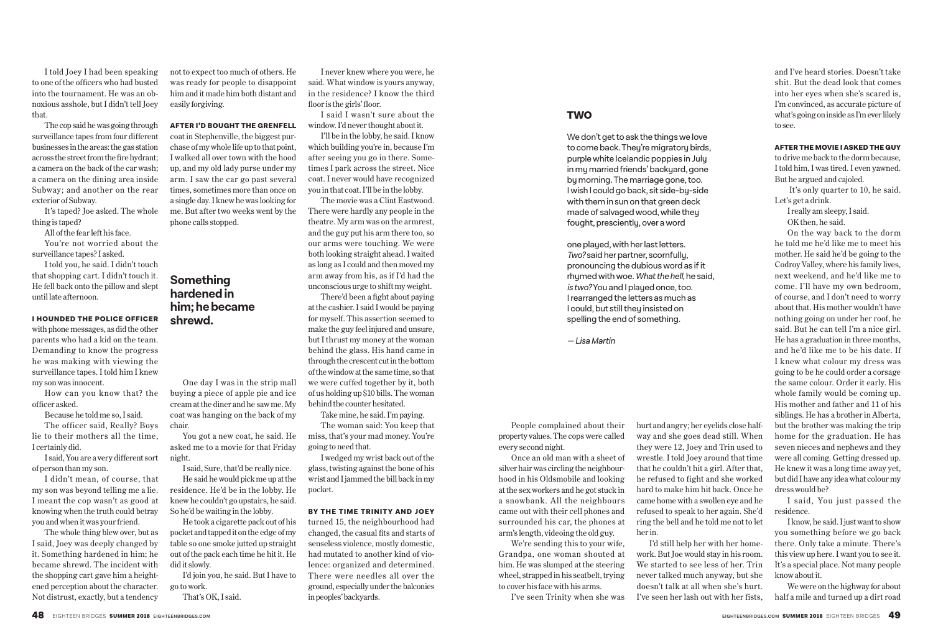I told Joey I had been speaking to one of the officers who had busted into the tournament. He was an obnoxious asshole, but I didn't tell Joey that.

The cop said he was going through surveillance tapes from four different businesses in the areas: the gas station across the street from the fire hydrant; a camera on the back of the car wash; a camera on the dining area inside Subway; and another on the rear exterior of Subway.

It's taped? Joe asked. The whole thing is taped?

All of the fear left his face.

You're not worried about the surveillance tapes? I asked.

I told you, he said. I didn't touch that shopping cart. I didn't touch it. He fell back onto the pillow and slept until late afternoon.

### I HOUNDED THE POLICE OFFICER

with phone messages, as did the other parents who had a kid on the team. Demanding to know the progress he was making with viewing the surveillance tapes. I told him I knew my son was innocent.

How can you know that? the officer asked.

Because he told me so, I said.

The officer said, Really? Boys lie to their mothers all the time, I certainly did.

I said, You are a very different sort of person than my son.

I didn't mean, of course, that my son was beyond telling me a lie. I meant the cop wasn't as good at knowing when the truth could betray you and when it was your friend.

The whole thing blew over, but as I said, Joey was deeply changed by it. Something hardened in him; he became shrewd. The incident with the shopping cart gave him a heightened perception about the character. Not distrust, exactly, but a tendency

not to expect too much of others. He was ready for people to disappoint him and it made him both distant and easily forgiving.

### AFTER I'D BOUGHT THE GRENFELL

coat in Stephenville, the biggest purchase of my whole life up to that point, I walked all over town with the hood up, and my old lady purse under my arm. I saw the car go past several times, sometimes more than once on a single day. I knew he was looking for me. But after two weeks went by the phone calls stopped.

# **Something hardened in him; he became shrewd.**

One day I was in the strip mall buying a piece of apple pie and ice cream at the diner and he saw me. My coat was hanging on the back of my chair.

You got a new coat, he said. He asked me to a movie for that Friday night.

I said, Sure, that'd be really nice. He said he would pick me up at the residence. He'd be in the lobby. He knew he couldn't go upstairs, he said. So he'd be waiting in the lobby.

He took a cigarette pack out of his pocket and tapped it on the edge of my table so one smoke jutted up straight out of the pack each time he hit it. He did it slowly.

I'd join you, he said. But I have to go to work. That's OK, I said.

I never knew where you were, he said. What window is yours anyway, in the residence? I know the third floor is the girls' floor.

I said I wasn't sure about the window. I'd never thought about it.

I'll be in the lobby, he said. I know which building you're in, because I'm after seeing you go in there. Sometimes I park across the street. Nice coat. I never would have recognized you in that coat. I'll be in the lobby.

The movie was a Clint Eastwood. There were hardly any people in the theatre. My arm was on the armrest, and the guy put his arm there too, so our arms were touching. We were both looking straight ahead. I waited as long as I could and then moved my arm away from his, as if I'd had the unconscious urge to shift my weight.

There'd been a fight about paying at the cashier. I said I would be paying for myself. This assertion seemed to make the guy feel injured and unsure, but I thrust my money at the woman behind the glass. His hand came in through the crescent cut in the bottom of the window at the same time, so that we were cuffed together by it, both of us holding up \$10 bills. The woman behind the counter hesitated.

Take mine, he said. I'm paying. The woman said: You keep that miss, that's your mad money. You're going to need that.

I wedged my wrist back out of the glass, twisting against the bone of his wrist and I jammed the bill back in my pocket.

#### BY THE TIME TRINITY AND JOEY

turned 15, the neighbourhood had changed, the casual fits and starts of senseless violence, mostly domestic, had mutated to another kind of violence: organized and determined. There were needles all over the ground, especially under the balconies in peoples' backyards.

## **TWO**

We don't get to ask the things we love to come back. They're migratory birds, purple white Icelandic poppies in July in my married friends' backyard, gone by morning. The marriage gone, too. I wish I could go back, sit side-by-side with them in sun on that green deck made of salvaged wood, while they fought, presciently, over a word

one played, with her last letters. Two? said her partner, scornfully, pronouncing the dubious word as if it rhymed with woe. What the hell, he said, is two? You and I played once, too. I rearranged the letters as much as I could, but still they insisted on spelling the end of something.

her in.

hurt and angry; her eyelids close halfway and she goes dead still. When they were 12, Joey and Trin used to wrestle. I told Joey around that time that he couldn't hit a girl. After that, he refused to fight and she worked hard to make him hit back. Once he came home with a swollen eye and he refused to speak to her again. She'd ring the bell and he told me not to let

I'd still help her with her homework. But Joe would stay in his room. We started to see less of her. Trin never talked much anyway, but she doesn't talk at all when she's hurt. I've seen her lash out with her fists,

— Lisa Martin

People complained about their property values. The cops were called every second night.

Once an old man with a sheet of silver hair was circling the neighbourhood in his Oldsmobile and looking at the sex workers and he got stuck in a snowbank. All the neighbours came out with their cell phones and surrounded his car, the phones at arm's length, videoing the old guy.

We're sending this to your wife, Grandpa, one woman shouted at him. He was slumped at the steering wheel, strapped in his seatbelt, trying to cover his face with his arms.

I've seen Trinity when she was

and I've heard stories. Doesn't take shit. But the dead look that comes into her eyes when she's scared is, I'm convinced, as accurate picture of what's going on inside as I'm ever likely to see.

## AFTER THE MOVIE I ASKED THE GUY

to drive me back to the dorm because, I told him, I was tired. I even yawned. But he argued and cajoled.

 It's only quarter to 10, he said. Let's get a drink.

I really am sleepy, I said. OK then, he said.

On the way back to the dorm he told me he'd like me to meet his mother. He said he'd be going to the Codroy Valley, where his family lives, next weekend, and he'd like me to come. I'll have my own bedroom, of course, and I don't need to worry about that. His mother wouldn't have nothing going on under her roof, he said. But he can tell I'm a nice girl. He has a graduation in three months, and he'd like me to be his date. If I knew what colour my dress was going to be he could order a corsage the same colour. Order it early. His whole family would be coming up. His mother and father and 11 of his siblings. He has a brother in Alberta, but the brother was making the trip home for the graduation. He has seven nieces and nephews and they were all coming. Getting dressed up. He knew it was a long time away yet, but did I have any idea what colour my dress would be?

I said, You just passed the residence.

I know, he said. I just want to show you something before we go back there. Only take a minute. There's this view up here. I want you to see it. It's a special place. Not many people know about it.

We were on the highway for about half a mile and turned up a dirt road